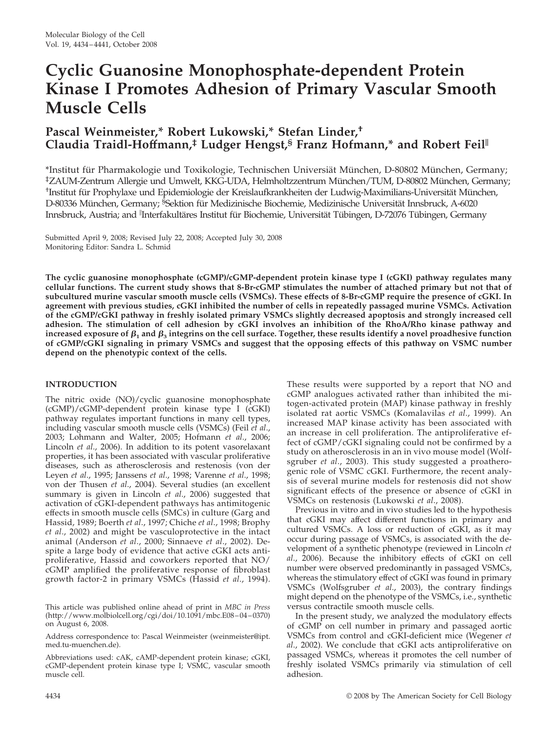# **Cyclic Guanosine Monophosphate-dependent Protein Kinase I Promotes Adhesion of Primary Vascular Smooth Muscle Cells**

# **Pascal Weinmeister,\* Robert Lukowski,\* Stefan Linder,† Claudia Traidl-Hoffmann,‡ Ludger Hengst,§ Franz Hofmann,\* and Robert Feil**

\*Institut für Pharmakologie und Toxikologie, Technischen Universiät München, D-80802 München, Germany; ‡ZAUM-Zentrum Allergie und Umwelt, KKG-UDA, Helmholtzzentrum Mu¨nchen/TUM, D-80802 Mu¨nchen, Germany; <sup>†</sup>Institut für Prophylaxe und Epidemiologie der Kreislaufkrankheiten der Ludwig-Maximilians-Universität München, D-80336 München, Germany; <sup>§</sup>Sektion für Medizinische Biochemie, Medizinische Universität Innsbruck, A-6020 Innsbruck, Austria; and <sup>||</sup>Interfakultäres Institut für Biochemie, Universität Tübingen, D-72076 Tübingen, Germany

Submitted April 9, 2008; Revised July 22, 2008; Accepted July 30, 2008 Monitoring Editor: Sandra L. Schmid

**The cyclic guanosine monophosphate (cGMP)/cGMP-dependent protein kinase type I (cGKI) pathway regulates many cellular functions. The current study shows that 8-Br-cGMP stimulates the number of attached primary but not that of subcultured murine vascular smooth muscle cells (VSMCs). These effects of 8-Br-cGMP require the presence of cGKI. In agreement with previous studies, cGKI inhibited the number of cells in repeatedly passaged murine VSMCs. Activation of the cGMP/cGKI pathway in freshly isolated primary VSMCs slightly decreased apoptosis and strongly increased cell adhesion. The stimulation of cell adhesion by cGKI involves an inhibition of the RhoA/Rho kinase pathway and** increased exposure of  $\beta_1$  and  $\beta_3$  integrins on the cell surface. Together, these results identify a novel proadhesive function **of cGMP/cGKI signaling in primary VSMCs and suggest that the opposing effects of this pathway on VSMC number depend on the phenotypic context of the cells.**

# **INTRODUCTION**

The nitric oxide (NO)/cyclic guanosine monophosphate (cGMP)/cGMP-dependent protein kinase type I (cGKI) pathway regulates important functions in many cell types, including vascular smooth muscle cells (VSMCs) (Feil *et al*., 2003; Lohmann and Walter, 2005; Hofmann *et al*., 2006; Lincoln *et al*., 2006). In addition to its potent vasorelaxant properties, it has been associated with vascular proliferative diseases, such as atherosclerosis and restenosis (von der Leyen *et al*., 1995; Janssens *et al*., 1998; Varenne *et al*., 1998; von der Thusen *et al*., 2004). Several studies (an excellent summary is given in Lincoln *et al*., 2006) suggested that activation of cGKI-dependent pathways has antimitogenic effects in smooth muscle cells (SMCs) in culture (Garg and Hassid, 1989; Boerth *et al*., 1997; Chiche *et al*., 1998; Brophy *et al*., 2002) and might be vasculoprotective in the intact animal (Anderson *et al*., 2000; Sinnaeve *et al*., 2002). Despite a large body of evidence that active cGKI acts antiproliferative, Hassid and coworkers reported that NO/ cGMP amplified the proliferative response of fibroblast growth factor-2 in primary VSMCs (Hassid *et al*., 1994).

This article was published online ahead of print in *MBC in Press* (http://www.molbiolcell.org/cgi/doi/10.1091/mbc.E08–04–0370) on August 6, 2008.

Address correspondence to: Pascal Weinmeister (weinmeister@ipt. med.tu-muenchen.de).

Abbreviations used: cAK, cAMP-dependent protein kinase; cGKI, cGMP-dependent protein kinase type I; VSMC, vascular smooth muscle cell.

These results were supported by a report that NO and cGMP analogues activated rather than inhibited the mitogen-activated protein (MAP) kinase pathway in freshly isolated rat aortic VSMCs (Komalavilas *et al*., 1999). An increased MAP kinase activity has been associated with an increase in cell proliferation. The antiproliferative effect of cGMP/cGKI signaling could not be confirmed by a study on atherosclerosis in an in vivo mouse model (Wolfsgruber *et al*., 2003). This study suggested a proatherogenic role of VSMC cGKI. Furthermore, the recent analysis of several murine models for restenosis did not show significant effects of the presence or absence of cGKI in VSMCs on restenosis (Lukowski *et al*., 2008).

Previous in vitro and in vivo studies led to the hypothesis that cGKI may affect different functions in primary and cultured VSMCs. A loss or reduction of cGKI, as it may occur during passage of VSMCs, is associated with the development of a synthetic phenotype (reviewed in Lincoln *et al*., 2006). Because the inhibitory effects of cGKI on cell number were observed predominantly in passaged VSMCs, whereas the stimulatory effect of cGKI was found in primary VSMCs (Wolfsgruber *et al*., 2003), the contrary findings might depend on the phenotype of the VSMCs, i.e., synthetic versus contractile smooth muscle cells.

In the present study, we analyzed the modulatory effects of cGMP on cell number in primary and passaged aortic VSMCs from control and cGKI-deficient mice (Wegener *et al*., 2002). We conclude that cGKI acts antiproliferative on passaged VSMCs, whereas it promotes the cell number of freshly isolated VSMCs primarily via stimulation of cell adhesion.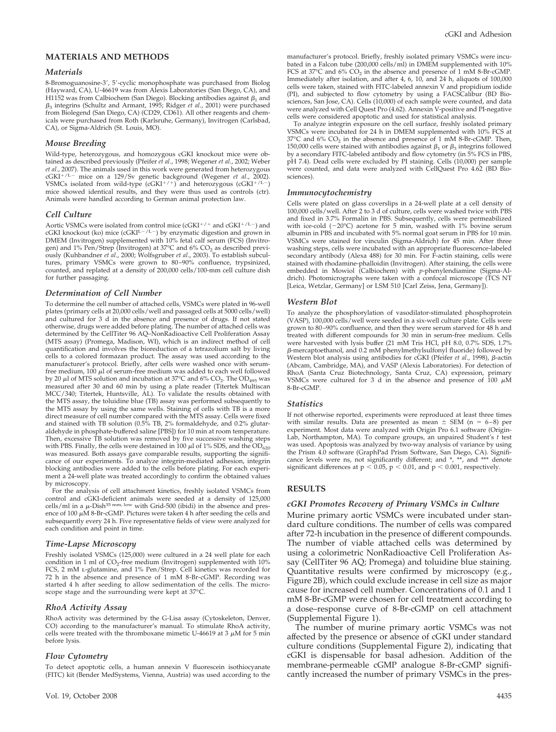# **MATERIALS AND METHODS**

#### *Materials*

8-Bromoguanosine-3, 5-cyclic monophosphate was purchased from Biolog (Hayward, CA), U-46619 was from Alexis Laboratories (San Diego, CA), and H1152 was from Calbiochem (San Diego). Blocking antibodies against  $\beta_1$  and  $\beta_3$  integrins (Schultz and Armant, 1995; Ridger *et al.*, 2001) were purchased from Biolegend (San Diego, CA) (CD29, CD61). All other reagents and chemicals were purchased from Roth (Karlsruhe, Germany), Invitrogen (Carlsbad, CA), or Sigma-Aldrich (St. Louis, MO).

## *Mouse Breeding*

Wild-type, heterozygous, and homozygous cGKI knockout mice were obtained as described previously (Pfeifer *et al*., 1998; Wegener *et al*., 2002; Weber *et al*., 2007). The animals used in this work were generated from heterozygous cGKI<sup>+/L-</sup> mice on a 129/Sv genetic background (Wegener et al., 2002). VSMCs isolated from wild-type  $(cGKI^{+/-})$  and heterozygous  $(cGKI^{+/-})$ mice showed identical results, and they were thus used as controls (ctr). Animals were handled according to German animal protection law.

#### *Cell Culture*

Aortic VSMCs were isolated from control mice (cGKI<sup>+/+</sup> and cGKI<sup>+/L-</sup>) and cGKI knockout (ko) mice (cGKIL $^{-1}$ ) by enzymatic digestion and grown in DMEM (Invitrogen) supplemented with 10% fetal calf serum (FCS) (Invitrogen) and 1% Pen/Strep (Invitrogen) at 37°C and 6% CO<sub>2</sub> as described previously (Kuhbandner *et al*., 2000; Wolfsgruber *et al*., 2003). To establish subcultures, primary VSMCs were grown to 80–90% confluence, trypsinized, counted, and replated at a density of 200,000 cells/100-mm cell culture dish for further passaging.

#### *Determination of Cell Number*

To determine the cell number of attached cells, VSMCs were plated in 96-well plates (primary cells at 20,000 cells/well and passaged cells at 5000 cells/well) and cultured for 3 d in the absence and presence of drugs. If not stated otherwise, drugs were added before plating. The number of attached cells was determined by the CellTiter 96 AQ–NonRadioactive Cell Proliferation Assay (MTS assay) (Promega, Madison, WI), which is an indirect method of cell quantification and involves the bioreduction of a tetrazolium salt by living cells to a colored formazan product. The assay was used according to the manufacturer's protocol. Briefly, after cells were washed once with serumfree medium, 100  $\mu$ l of serum-free medium was added to each well followed by 20  $\mu$ l of MTS solution and incubation at 37°C and 6% CO<sub>2</sub>. The OD<sub>495</sub> was measured after 30 and 60 min by using a plate reader (Titertek Multiscan MCC/340; Titertek, Huntsville, AL). To validate the results obtained with the MTS assay, the toluidine blue (TB) assay was performed subsequently to the MTS assay by using the same wells. Staining of cells with TB is a more direct measure of cell number compared with the MTS assay. Cells were fixed and stained with TB solution (0.5% TB, 2% formaldehyde, and 0.2% glutaraldehyde in phosphate-buffered saline [PBS]) for 10 min at room temperature. Then, excessive TB solution was removed by five successive washing steps with PBS. Finally, the cells were destained in 100  $\mu$ l of 1% SDS, and the OD<sub>620</sub> was measured. Both assays gave comparable results, supporting the significance of our experiments. To analyze integrin-mediated adhesion, integrin blocking antibodies were added to the cells before plating. For each experiment a 24-well plate was treated accordingly to confirm the obtained values by microscopy.

For the analysis of cell attachment kinetics, freshly isolated VSMCs from control and cGKI-deficient animals were seeded at a density of 125,000 cells/ml in a  $\mu$ -Dish<sup>35 mm, low</sup> with Grid-500 (ibidi) in the absence and presence of 100  $\mu$ M 8-Br-cGMP. Pictures were taken 4 h after seeding the cells and subsequently every 24 h. Five representative fields of view were analyzed for each condition and point in time.

#### *Time-Lapse Microscopy*

Freshly isolated VSMCs (125,000) were cultured in a 24 well plate for each condition in 1 ml of  $CO_2$ -free medium (Invitrogen) supplemented with  $10\%$ FCS, 2 mM L-glutamine, and 1% Pen/Strep. Cell kinetics was recorded for 72 h in the absence and presence of 1 mM 8-Br-cGMP. Recording was started 4 h after seeding to allow sedimentation of the cells. The microscope stage and the surrounding were kept at 37°C.

#### *RhoA Activity Assay*

RhoA activity was determined by the G-Lisa assay (Cytoskeleton, Denver, CO) according to the manufacturer's manual. To stimulate RhoA activity, cells were treated with the thromboxane mimetic U-46619 at 3  $\mu$ M for 5 min before lysis.

## *Flow Cytometry*

To detect apoptotic cells, a human annexin V fluorescein isothiocyanate (FITC) kit (Bender MedSystems, Vienna, Austria) was used according to the manufacturer's protocol. Briefly, freshly isolated primary VSMCs were incubated in a Falcon tube (200,000 cells/ml) in DMEM supplemented with 10% FCS at  $37^{\circ}$ C and  $6\%$  CO<sub>2</sub> in the absence and presence of 1 mM 8-Br-cGMP. Immediately after isolation, and after 4, 6, 10, and 24 h, aliquots of 100,000 cells were taken, stained with FITC-labeled annexin V and propidium iodide (PI), and subjected to flow cytometry by using a FACSCalibur (BD Biosciences, San Jose, CA). Cells (10,000) of each sample were counted, and data were analyzed with Cell Quest Pro (4.62). Annexin V-positive and PI-negative cells were considered apoptotic and used for statistical analysis.

To analyze integrin exposure on the cell surface, freshly isolated primary VSMCs were incubated for 24 h in DMEM supplemented with 10% FCS at  $37^{\circ}$ C and  $6\%$  CO<sub>2</sub> in the absence and presence of 1 mM 8-Br-cGMP. Then, 150,000 cells were stained with antibodies against  $\beta_1$  or  $\beta_3$  integrins followed by a secondary FITC-labeled antibody and flow cytometry (in 5% FCS in PBS, pH 7.4). Dead cells were excluded by PI staining. Cells (10,000) per sample were counted, and data were analyzed with CellQuest Pro 4.62 (BD Biosciences).

#### *Immunocytochemistry*

Cells were plated on glass coverslips in a 24-well plate at a cell density of 100,000 cells/well. After 2 to 3 d of culture, cells were washed twice with PBS and fixed in 3.7% Formalin in PBS. Subsequently, cells were permeabilized<br>with ice-cold (–20°C) acetone for 5 min, washed with 1% bovine serum albumin in PBS and incubated with 5% normal goat serum in PBS for 10 min. VSMCs were stained for vinculin (Sigma-Aldrich) for 45 min. After three washing steps, cells were incubated with an appropriate fluorescence-labeled secondary antibody (Alexa 488) for 30 min. For F-actin staining, cells were stained with rhodamine-phalloidin (Invitrogen). After staining, the cells were embedded in Mowiol (Calbiochem) with *p*-phenylendiamine (Sigma-Aldrich). Photomicrographs were taken with a confocal microscope (TCS NT [Leica, Wetzlar, Germany] or LSM 510 [Carl Zeiss, Jena, Germany]).

#### *Western Blot*

To analyze the phosphorylation of vasodilator-stimulated phosphoprotein (VASP), 100,000 cells/well were seeded in a six-well culture plate. Cells were grown to 80–90% confluence, and then they were serum starved for 48 h and treated with different compounds for 30 min in serum-free medium. Cells were harvested with lysis buffer (21 mM Tris HCl, pH 8.0, 0.7% SDS, 1.7%  $\beta$ -mercaptoethanol, and 0.2 mM phenylmethylsulfonyl fluoride) followed by Western blot analysis using antibodies for cGKI (Pfeifer *et al.*, 1998), β-actin (Abcam, Cambridge, MA), and VASP (Alexis Laboratories). For detection of RhoA (Santa Cruz Biotechnology, Santa Cruz, CA) expression, primary VSMCs were cultured for 3 d in the absence and presence of 100  $\mu$ M 8-Br-cGMP.

#### *Statistics*

If not otherwise reported, experiments were reproduced at least three times with similar results. Data are presented as mean  $\pm$  SEM (n = 6–8) per experiment. Most data were analyzed with Origin Pro 6.1 software (Origin-Lab, Northampton, MA). To compare groups, an unpaired Student's *t* test was used. Apoptosis was analyzed by two-way analysis of variance by using the Prism 4.0 software (GraphPad Prism Software, San Diego, CA). Significance levels were ns, not significantly different; and  $*$ ,  $**$ , and  $***$  denote significant differences at  $p < 0.05$ ,  $p < 0.01$ , and  $p < 0.001$ , respectively.

# **RESULTS**

#### *cGKI Promotes Recovery of Primary VSMCs in Culture*

Murine primary aortic VSMCs were incubated under standard culture conditions. The number of cells was compared after 72-h incubation in the presence of different compounds. The number of viable attached cells was determined by using a colorimetric NonRadioactive Cell Proliferation Assay (CellTiter 96 AQ; Promega) and toluidine blue staining. Quantitative results were confirmed by microscopy (e.g., Figure 2B), which could exclude increase in cell size as major cause for increased cell number. Concentrations of 0.1 and 1 mM 8-Br-cGMP were chosen for cell treatment according to a dose–response curve of 8-Br-cGMP on cell attachment (Supplemental Figure 1).

The number of murine primary aortic VSMCs was not affected by the presence or absence of cGKI under standard culture conditions (Supplemental Figure 2), indicating that cGKI is dispensable for basal adhesion. Addition of the membrane-permeable cGMP analogue 8-Br-cGMP significantly increased the number of primary VSMCs in the pres-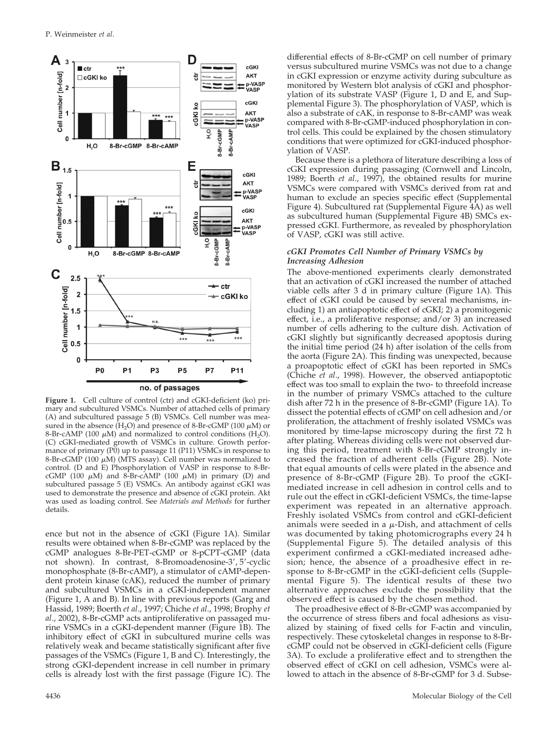

Figure 1. Cell culture of control (ctr) and cGKI-deficient (ko) primary and subcultured VSMCs. Number of attached cells of primary (A) and subcultured passage 5 (B) VSMCs. Cell number was measured in the absence  $(H_2O)$  and presence of 8-Br-cGMP (100  $\mu$ M) or 8-Br-cAMP (100  $\mu$ M) and normalized to control conditions (H<sub>2</sub>O). (C) cGKI-mediated growth of VSMCs in culture. Growth performance of primary (P0) up to passage 11 (P11) VSMCs in response to 8-Br-cGMP (100  $\mu$ M) (MTS assay). Cell number was normalized to control. (D and E) Phosphorylation of VASP in response to 8-BrcGMP (100  $\mu$ M) and 8-Br-cAMP (100  $\mu$ M) in primary (D) and subcultured passage 5 (E) VSMCs. An antibody against cGKI was used to demonstrate the presence and absence of cGKI protein. Akt was used as loading control. See *Materials and Methods* for further details.

ence but not in the absence of cGKI (Figure 1A). Similar results were obtained when 8-Br-cGMP was replaced by the cGMP analogues 8-Br-PET-cGMP or 8-pCPT-cGMP (data not shown). In contrast, 8-Bromoadenosine-3', 5'-cyclic monophosphate (8-Br-cAMP), a stimulator of cAMP-dependent protein kinase (cAK), reduced the number of primary and subcultured VSMCs in a cGKI-independent manner (Figure 1, A and B). In line with previous reports (Garg and Hassid, 1989; Boerth *et al*., 1997; Chiche *et al*., 1998; Brophy *et al*., 2002), 8-Br-cGMP acts antiproliferative on passaged murine VSMCs in a cGKI-dependent manner (Figure 1B). The inhibitory effect of cGKI in subcultured murine cells was relatively weak and became statistically significant after five passages of the VSMCs (Figure 1, B and C). Interestingly, the strong cGKI-dependent increase in cell number in primary cells is already lost with the first passage (Figure 1C). The

differential effects of 8-Br-cGMP on cell number of primary versus subcultured murine VSMCs was not due to a change in cGKI expression or enzyme activity during subculture as monitored by Western blot analysis of cGKI and phosphorylation of its substrate VASP (Figure 1, D and E, and Supplemental Figure 3). The phosphorylation of VASP, which is also a substrate of cAK, in response to 8-Br-cAMP was weak compared with 8-Br-cGMP-induced phosphorylation in control cells. This could be explained by the chosen stimulatory conditions that were optimized for cGKI-induced phosphorylation of VASP.

Because there is a plethora of literature describing a loss of cGKI expression during passaging (Cornwell and Lincoln, 1989; Boerth *et al*., 1997), the obtained results for murine VSMCs were compared with VSMCs derived from rat and human to exclude an species specific effect (Supplemental Figure 4). Subcultured rat (Supplemental Figure 4A) as well as subcultured human (Supplemental Figure 4B) SMCs expressed cGKI. Furthermore, as revealed by phosphorylation of VASP, cGKI was still active.

#### *cGKI Promotes Cell Number of Primary VSMCs by Increasing Adhesion*

The above-mentioned experiments clearly demonstrated that an activation of cGKI increased the number of attached viable cells after 3 d in primary culture (Figure 1A). This effect of cGKI could be caused by several mechanisms, including 1) an antiapoptotic effect of cGKI; 2) a promitogenic effect, i.e., a proliferative response; and/or 3) an increased number of cells adhering to the culture dish. Activation of cGKI slightly but significantly decreased apoptosis during the initial time period (24 h) after isolation of the cells from the aorta (Figure 2A). This finding was unexpected, because a proapoptotic effect of cGKI has been reported in SMCs (Chiche *et al*., 1998). However, the observed antiapoptotic effect was too small to explain the two- to threefold increase in the number of primary VSMCs attached to the culture dish after 72 h in the presence of 8-Br-cGMP (Figure 1A). To dissect the potential effects of cGMP on cell adhesion and/or proliferation, the attachment of freshly isolated VSMCs was monitored by time-lapse microscopy during the first 72 h after plating. Whereas dividing cells were not observed during this period, treatment with 8-Br-cGMP strongly increased the fraction of adherent cells (Figure 2B). Note that equal amounts of cells were plated in the absence and presence of 8-Br-cGMP (Figure 2B). To proof the cGKImediated increase in cell adhesion in control cells and to rule out the effect in cGKI-deficient VSMCs, the time-lapse experiment was repeated in an alternative approach. Freshly isolated VSMCs from control and cGKI-deficient animals were seeded in a  $\mu\text{-Dish}$ , and attachment of cells was documented by taking photomicrographs every 24 h (Supplemental Figure 5). The detailed analysis of this experiment confirmed a cGKI-mediated increased adhesion; hence, the absence of a proadhesive effect in response to 8-Br-cGMP in the cGKI-deficient cells (Supplemental Figure 5). The identical results of these two alternative approaches exclude the possibility that the observed effect is caused by the chosen method.

The proadhesive effect of 8-Br-cGMP was accompanied by the occurrence of stress fibers and focal adhesions as visualized by staining of fixed cells for F-actin and vinculin, respectively. These cytoskeletal changes in response to 8-BrcGMP could not be observed in cGKI-deficient cells (Figure 3A). To exclude a proliferative effect and to strengthen the observed effect of cGKI on cell adhesion, VSMCs were allowed to attach in the absence of 8-Br-cGMP for 3 d. Subse-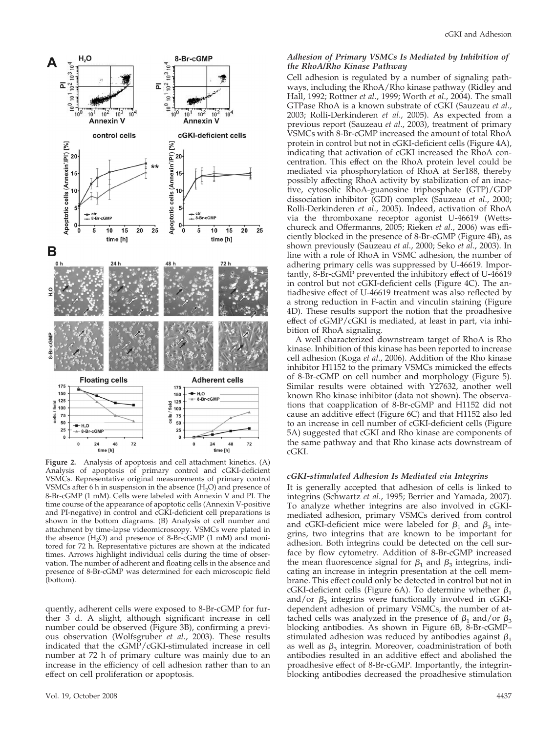

**Figure 2.** Analysis of apoptosis and cell attachment kinetics. (A) Analysis of apoptosis of primary control and cGKI-deficient VSMCs. Representative original measurements of primary control VSMCs after 6 h in suspension in the absence  $(H_2O)$  and presence of 8-Br-cGMP (1 mM). Cells were labeled with Annexin V and PI. The time course of the appearance of apoptotic cells (Annexin V-positive and PI-negative) in control and cGKI-deficient cell preparations is shown in the bottom diagrams. (B) Analysis of cell number and attachment by time-lapse videomicroscopy. VSMCs were plated in the absence  $(H_2O)$  and presence of 8-Br-cGMP (1 mM) and monitored for 72 h. Representative pictures are shown at the indicated times. Arrows highlight individual cells during the time of observation. The number of adherent and floating cells in the absence and presence of 8-Br-cGMP was determined for each microscopic field (bottom).

quently, adherent cells were exposed to 8-Br-cGMP for further 3 d. A slight, although significant increase in cell number could be observed (Figure 3B), confirming a previous observation (Wolfsgruber *et al*., 2003). These results indicated that the cGMP/cGKI-stimulated increase in cell number at 72 h of primary culture was mainly due to an increase in the efficiency of cell adhesion rather than to an effect on cell proliferation or apoptosis.

# *Adhesion of Primary VSMCs Is Mediated by Inhibition of the RhoA/Rho Kinase Pathway*

Cell adhesion is regulated by a number of signaling pathways, including the RhoA/Rho kinase pathway (Ridley and Hall, 1992; Rottner *et al*., 1999; Worth *et al*., 2004). The small GTPase RhoA is a known substrate of cGKI (Sauzeau *et al*., 2003; Rolli-Derkinderen *et al*., 2005). As expected from a previous report (Sauzeau *et al*., 2003), treatment of primary VSMCs with 8-Br-cGMP increased the amount of total RhoA protein in control but not in cGKI-deficient cells (Figure 4A), indicating that activation of cGKI increased the RhoA concentration. This effect on the RhoA protein level could be mediated via phosphorylation of RhoA at Ser188, thereby possibly affecting RhoA activity by stabilization of an inactive, cytosolic RhoA-guanosine triphosphate (GTP)/GDP dissociation inhibitor (GDI) complex (Sauzeau *et al*., 2000; Rolli-Derkinderen *et al*., 2005). Indeed, activation of RhoA via the thromboxane receptor agonist U-46619 (Wettschureck and Offermanns, 2005; Rieken *et al*., 2006) was efficiently blocked in the presence of 8-Br-cGMP (Figure 4B), as shown previously (Sauzeau *et al*., 2000; Seko *et al*., 2003). In line with a role of RhoA in VSMC adhesion, the number of adhering primary cells was suppressed by U-46619. Importantly, 8-Br-cGMP prevented the inhibitory effect of U-46619 in control but not cGKI-deficient cells (Figure 4C). The antiadhesive effect of U-46619 treatment was also reflected by a strong reduction in F-actin and vinculin staining (Figure 4D). These results support the notion that the proadhesive effect of cGMP/cGKI is mediated, at least in part, via inhibition of RhoA signaling.

A well characterized downstream target of RhoA is Rho kinase. Inhibition of this kinase has been reported to increase cell adhesion (Koga *et al*., 2006). Addition of the Rho kinase inhibitor H1152 to the primary VSMCs mimicked the effects of 8-Br-cGMP on cell number and morphology (Figure 5). Similar results were obtained with Y27632, another well known Rho kinase inhibitor (data not shown). The observations that coapplication of 8-Br-cGMP and H1152 did not cause an additive effect (Figure 6C) and that H1152 also led to an increase in cell number of cGKI-deficient cells (Figure 5A) suggested that cGKI and Rho kinase are components of the same pathway and that Rho kinase acts downstream of cGKI.

#### *cGKI-stimulated Adhesion Is Mediated via Integrins*

It is generally accepted that adhesion of cells is linked to integrins (Schwartz *et al*., 1995; Berrier and Yamada, 2007). To analyze whether integrins are also involved in cGKImediated adhesion, primary VSMCs derived from control and cGKI-deficient mice were labeled for  $\beta_1$  and  $\beta_3$  integrins, two integrins that are known to be important for adhesion. Both integrins could be detected on the cell surface by flow cytometry. Addition of 8-Br-cGMP increased the mean fluorescence signal for  $\beta_1$  and  $\beta_3$  integrins, indicating an increase in integrin presentation at the cell membrane. This effect could only be detected in control but not in cGKI-deficient cells (Figure 6A). To determine whether  $\beta_1$ and/or  $\beta_3$  integrins were functionally involved in cGKIdependent adhesion of primary VSMCs, the number of attached cells was analyzed in the presence of  $\beta_1$  and/or  $\beta_3$ blocking antibodies. As shown in Figure 6B, 8-Br-cGMP– stimulated adhesion was reduced by antibodies against  $\beta_1$ as well as  $\beta_3$  integrin. Moreover, coadministration of both antibodies resulted in an additive effect and abolished the proadhesive effect of 8-Br-cGMP. Importantly, the integrinblocking antibodies decreased the proadhesive stimulation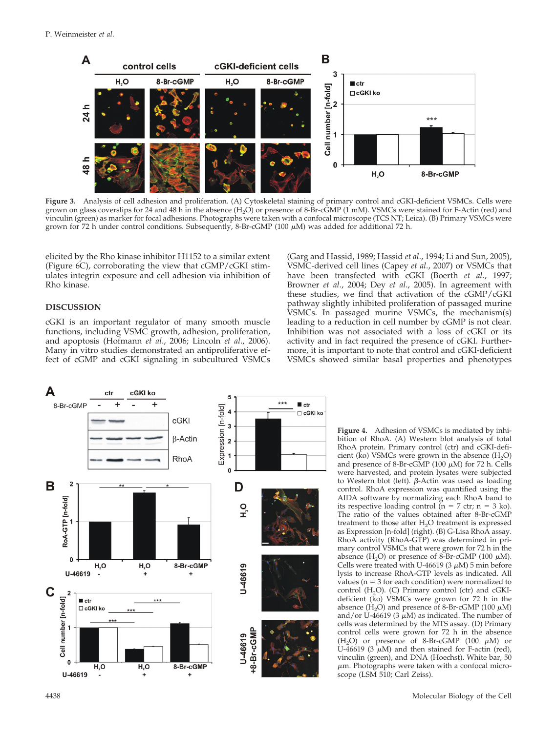

**Figure 3.** Analysis of cell adhesion and proliferation. (A) Cytoskeletal staining of primary control and cGKI-deficient VSMCs. Cells were grown on glass coverslips for 24 and 48 h in the absence  $(H_2O)$  or presence of 8-Br-cGMP (1 mM). VSMCs were stained for F-Actin (red) and vinculin (green) as marker for focal adhesions. Photographs were taken with a confocal microscope (TCS NT; Leica). (B) Primary VSMCs were grown for 72 h under control conditions. Subsequently, 8-Br-cGMP (100  $\mu$ M) was added for additional 72 h.

elicited by the Rho kinase inhibitor H1152 to a similar extent (Figure 6C), corroborating the view that cGMP/cGKI stimulates integrin exposure and cell adhesion via inhibition of Rho kinase.

#### **DISCUSSION**

cGKI is an important regulator of many smooth muscle functions, including VSMC growth, adhesion, proliferation, and apoptosis (Hofmann *et al*., 2006; Lincoln *et al*., 2006). Many in vitro studies demonstrated an antiproliferative effect of cGMP and cGKI signaling in subcultured VSMCs (Garg and Hassid, 1989; Hassid *et al*., 1994; Li and Sun, 2005), VSMC-derived cell lines (Capey *et al*., 2007) or VSMCs that have been transfected with cGKI (Boerth *et al*., 1997; Browner *et al*., 2004; Dey *et al*., 2005). In agreement with these studies, we find that activation of the cGMP/cGKI pathway slightly inhibited proliferation of passaged murine VSMCs. In passaged murine VSMCs, the mechanism(s) leading to a reduction in cell number by cGMP is not clear. Inhibition was not associated with a loss of cGKI or its activity and in fact required the presence of cGKI. Furthermore, it is important to note that control and cGKI-deficient VSMCs showed similar basal properties and phenotypes



**Figure 4.** Adhesion of VSMCs is mediated by inhibition of RhoA. (A) Western blot analysis of total RhoA protein. Primary control (ctr) and cGKI-deficient ( $\overline{k}$ o) VSMCs were grown in the absence ( $H_2$ O) and presence of 8-Br-cGMP (100  $\mu$ M) for 72 h. Cells were harvested, and protein lysates were subjected to Western blot (left).  $\beta$ -Actin was used as loading control. RhoA expression was quantified using the AIDA software by normalizing each RhoA band to its respective loading control  $(n = 7 \text{ ctr}; n = 3 \text{ ko}).$ The ratio of the values obtained after 8-Br-cGMP treatment to those after H<sub>2</sub>O treatment is expressed as Expression [n-fold] (right). (B) G-Lisa RhoA assay. RhoA activity (RhoA-GTP) was determined in primary control VSMCs that were grown for 72 h in the absence  $(H_2O)$  or presence of 8-Br-cGMP (100  $\mu$ M). Cells were treated with U-46619 (3  $\mu$ M) 5 min before lysis to increase RhoA-GTP levels as indicated. All values ( $n = 3$  for each condition) were normalized to  $control$   $(H<sub>2</sub>O)$ .  $(C)$  Primary control  $(ctr)$  and  $cGKI$ deficient (ko) VSMCs were grown for 72 h in the absence  $(H_2O)$  and presence of 8-Br-cGMP (100  $\mu$ M) and/or U-46619 (3  $\mu$ M) as indicated. The number of cells was determined by the MTS assay. (D) Primary control cells were grown for 72 h in the absence  $(H_2O)$  or presence of 8-Br-cGMP (100  $\mu$ M) or U-46619 (3  $\mu$ M) and then stained for F-actin (red), vinculin (green), and DNA (Hoechst). White bar, 50  $\mu$ m. Photographs were taken with a confocal microscope (LSM 510; Carl Zeiss).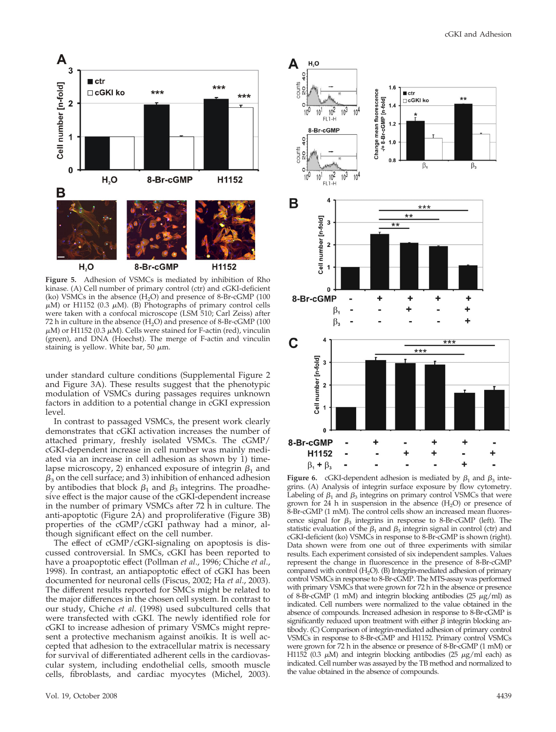

**Figure 5.** Adhesion of VSMCs is mediated by inhibition of Rho kinase. (A) Cell number of primary control (ctr) and cGKI-deficient (ko) VSMCs in the absence  $(H<sub>2</sub>O)$  and presence of 8-Br-cGMP (100)  $\mu$ M) or H1152 (0.3  $\mu$ M). (B) Photographs of primary control cells were taken with a confocal microscope (LSM 510; Carl Zeiss) after 72 h in culture in the absence  $(H_2O)$  and presence of 8-Br-cGMP (100  $\mu$ M) or H1152 (0.3  $\mu$ M). Cells were stained for F-actin (red), vinculin (green), and DNA (Hoechst). The merge of F-actin and vinculin staining is yellow. White bar, 50  $\mu$ m.

under standard culture conditions (Supplemental Figure 2 and Figure 3A). These results suggest that the phenotypic modulation of VSMCs during passages requires unknown factors in addition to a potential change in cGKI expression level.

In contrast to passaged VSMCs, the present work clearly demonstrates that cGKI activation increases the number of attached primary, freshly isolated VSMCs. The cGMP/ cGKI-dependent increase in cell number was mainly mediated via an increase in cell adhesion as shown by 1) timelapse microscopy, 2) enhanced exposure of integrin  $\beta_1$  and  $\beta_3$  on the cell surface; and 3) inhibition of enhanced adhesion by antibodies that block  $\beta_1$  and  $\beta_3$  integrins. The proadhesive effect is the major cause of the cGKI-dependent increase in the number of primary VSMCs after 72 h in culture. The anti-apoptotic (Figure 2A) and proproliferative (Figure 3B) properties of the cGMP/cGKI pathway had a minor, although significant effect on the cell number.

The effect of cGMP/cGKI-signaling on apoptosis is discussed controversial. In SMCs, cGKI has been reported to have a proapoptotic effect (Pollman *et al*., 1996; Chiche *et al*., 1998). In contrast, an antiapoptotic effect of cGKI has been documented for neuronal cells (Fiscus, 2002; Ha *et al*., 2003). The different results reported for SMCs might be related to the major differences in the chosen cell system. In contrast to our study, Chiche *et al*. (1998) used subcultured cells that were transfected with cGKI. The newly identified role for cGKI to increase adhesion of primary VSMCs might represent a protective mechanism against anoikis. It is well accepted that adhesion to the extracellular matrix is necessary for survival of differentiated adherent cells in the cardiovascular system, including endothelial cells, smooth muscle cells, fibroblasts, and cardiac myocytes (Michel, 2003).



**Figure 6.** cGKI-dependent adhesion is mediated by  $\beta_1$  and  $\beta_3$  integrins. (A) Analysis of integrin surface exposure by flow cytometry. Labeling of  $\beta_1$  and  $\beta_3$  integrins on primary control VSMCs that were grown for  $24$  h in suspension in the absence  $(H_2O)$  or presence of 8-Br-cGMP (1 mM). The control cells show an increased mean fluorescence signal for  $\beta_3$  integrins in response to 8-Br-cGMP (left). The statistic evaluation of the  $\beta_1$  and  $\beta_3$  integrin signal in control (ctr) and cGKI-deficient (ko) VSMCs in response to 8-Br-cGMP is shown (right). Data shown were from one out of three experiments with similar results. Each experiment consisted of six independent samples. Values represent the change in fluorescence in the presence of 8-Br-cGMP compared with control (H<sub>2</sub>O). (B) Integrin-mediated adhesion of primary control VSMCs in response to 8-Br-cGMP. The MTS-assay was performed with primary VSMCs that were grown for 72 h in the absence or presence of 8-Br-cGMP (1 mM) and integrin blocking antibodies (25  $\mu$ g/ml) as indicated. Cell numbers were normalized to the value obtained in the absence of compounds. Increased adhesion in response to 8-Br-cGMP is significantly reduced upon treatment with either  $\beta$  integrin blocking antibody. (C) Comparison of integrin-mediated adhesion of primary control VSMCs in response to 8-Br-cGMP and H1152. Primary control VSMCs were grown for 72 h in the absence or presence of 8-Br-cGMP (1 mM) or H1152 (0.3  $\mu$ M) and integrin blocking antibodies (25  $\mu$ g/ml each) as indicated. Cell number was assayed by the TB method and normalized to the value obtained in the absence of compounds.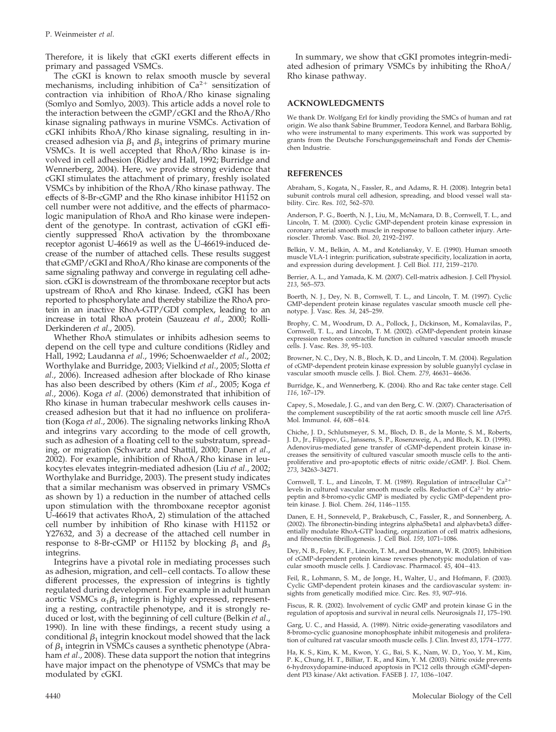Therefore, it is likely that cGKI exerts different effects in primary and passaged VSMCs.

The cGKI is known to relax smooth muscle by several mechanisms, including inhibition of  $Ca^{2+}$  sensitization of contraction via inhibition of RhoA/Rho kinase signaling (Somlyo and Somlyo, 2003). This article adds a novel role to the interaction between the cGMP/cGKI and the RhoA/Rho kinase signaling pathways in murine VSMCs. Activation of cGKI inhibits RhoA/Rho kinase signaling, resulting in increased adhesion via  $\beta_1$  and  $\beta_3$  integrins of primary murine VSMCs. It is well accepted that RhoA/Rho kinase is involved in cell adhesion (Ridley and Hall, 1992; Burridge and Wennerberg, 2004). Here, we provide strong evidence that cGKI stimulates the attachment of primary, freshly isolated VSMCs by inhibition of the RhoA/Rho kinase pathway. The effects of 8-Br-cGMP and the Rho kinase inhibitor H1152 on cell number were not additive, and the effects of pharmacologic manipulation of RhoA and Rho kinase were independent of the genotype. In contrast, activation of cGKI efficiently suppressed RhoA activation by the thromboxane receptor agonist U-46619 as well as the U-46619-induced decrease of the number of attached cells. These results suggest that cGMP/cGKI and RhoA/Rho kinase are components of the same signaling pathway and converge in regulating cell adhesion. cGKI is downstream of the thromboxane receptor but acts upstream of RhoA and Rho kinase. Indeed, cGKI has been reported to phosphorylate and thereby stabilize the RhoA protein in an inactive RhoA-GTP/GDI complex, leading to an increase in total RhoA protein (Sauzeau *et al*., 2000; Rolli-Derkinderen *et al*., 2005).

Whether RhoA stimulates or inhibits adhesion seems to depend on the cell type and culture conditions (Ridley and Hall, 1992; Laudanna *et al*., 1996; Schoenwaelder *et al*., 2002; Worthylake and Burridge, 2003; Vielkind *et al*., 2005; Slotta *et al*., 2006). Increased adhesion after blockade of Rho kinase has also been described by others (Kim *et al*., 2005; Koga *et al*., 2006). Koga *et al*. (2006) demonstrated that inhibition of Rho kinase in human trabecular meshwork cells causes increased adhesion but that it had no influence on proliferation (Koga *et al*., 2006). The signaling networks linking RhoA and integrins vary according to the mode of cell growth, such as adhesion of a floating cell to the substratum, spreading, or migration (Schwartz and Shattil, 2000; Danen *et al*., 2002). For example, inhibition of RhoA/Rho kinase in leukocytes elevates integrin-mediated adhesion (Liu *et al*., 2002; Worthylake and Burridge, 2003). The present study indicates that a similar mechanism was observed in primary VSMCs as shown by 1) a reduction in the number of attached cells upon stimulation with the thromboxane receptor agonist U-46619 that activates RhoA, 2) stimulation of the attached cell number by inhibition of Rho kinase with H1152 or Y27632, and 3) a decrease of the attached cell number in response to 8-Br-cGMP or H1152 by blocking  $\beta_1$  and  $\beta_3$ integrins.

Integrins have a pivotal role in mediating processes such as adhesion, migration, and cell–cell contacts. To allow these different processes, the expression of integrins is tightly regulated during development. For example in adult human aortic VSMCs  $\alpha_1\beta_1$  integrin is highly expressed, representing a resting, contractile phenotype, and it is strongly reduced or lost, with the beginning of cell culture (Belkin *et al*., 1990). In line with these findings, a recent study using a conditional  $\beta_1$  integrin knockout model showed that the lack of  $\beta_1$  integrin in VSMCs causes a synthetic phenotype (Abraham *et al*., 2008). These data support the notion that integrins have major impact on the phenotype of VSMCs that may be modulated by cGKI.

In summary, we show that cGKI promotes integrin-mediated adhesion of primary VSMCs by inhibiting the RhoA/ Rho kinase pathway.

# **ACKNOWLEDGMENTS**

We thank Dr. Wolfgang Erl for kindly providing the SMCs of human and rat origin. We also thank Sabine Brummer, Teodora Kennel, and Barbara Böhlig, who were instrumental to many experiments. This work was supported by grants from the Deutsche Forschungsgemeinschaft and Fonds der Chemischen Industrie.

# **REFERENCES**

Abraham, S., Kogata, N., Fassler, R., and Adams, R. H. (2008). Integrin beta1 subunit controls mural cell adhesion, spreading, and blood vessel wall stability. Circ. Res. *102*, 562–570.

Anderson, P. G., Boerth, N. J., Liu, M., McNamara, D. B., Cornwell, T. L., and Lincoln, T. M. (2000). Cyclic GMP-dependent protein kinase expression in coronary arterial smooth muscle in response to balloon catheter injury. Arterioscler. Thromb. Vasc. Biol. *20*, 2192–2197.

Belkin, V. M., Belkin, A. M., and Koteliansky, V. E. (1990). Human smooth muscle VLA-1 integrin: purification, substrate specificity, localization in aorta, and expression during development. J. Cell Biol. *111*, 2159–2170.

Berrier, A. L., and Yamada, K. M. (2007). Cell-matrix adhesion. J. Cell Physiol. *213*, 565–573.

Boerth, N. J., Dey, N. B., Cornwell, T. L., and Lincoln, T. M. (1997). Cyclic GMP-dependent protein kinase regulates vascular smooth muscle cell phenotype. J. Vasc. Res. *34*, 245–259.

Brophy, C. M., Woodrum, D. A., Pollock, J., Dickinson, M., Komalavilas, P., Cornwell, T. L., and Lincoln, T. M. (2002). cGMP-dependent protein kinase expression restores contractile function in cultured vascular smooth muscle cells. J. Vasc. Res. *39*, 95–103.

Browner, N. C., Dey, N. B., Bloch, K. D., and Lincoln, T. M. (2004). Regulation of cGMP-dependent protein kinase expression by soluble guanylyl cyclase in vascular smooth muscle cells. J. Biol. Chem. *279*, 46631–46636.

Burridge, K., and Wennerberg, K. (2004). Rho and Rac take center stage. Cell *116*, 167–179.

Capey, S., Mosedale, J. G., and van den Berg, C. W. (2007). Characterisation of the complement susceptibility of the rat aortic smooth muscle cell line A7r5. Mol. Immunol. *44*, 608–614.

Chiche, J. D., Schlutsmeyer, S. M., Bloch, D. B., de la Monte, S. M., Roberts, J. D., Jr., Filippov, G., Janssens, S. P., Rosenzweig, A., and Bloch, K. D. (1998). Adenovirus-mediated gene transfer of cGMP-dependent protein kinase increases the sensitivity of cultured vascular smooth muscle cells to the antiproliferative and pro-apoptotic effects of nitric oxide/cGMP. J. Biol. Chem. *273*, 34263–34271.

Cornwell, T. L., and Lincoln, T. M. (1989). Regulation of intracellular Ca<sup>2+</sup> levels in cultured vascular smooth muscle cells. Reduction of Ca<sup>2+</sup> by atriopeptin and 8-bromo-cyclic GMP is mediated by cyclic GMP-dependent protein kinase. J. Biol. Chem. *264*, 1146–1155.

Danen, E. H., Sonneveld, P., Brakebusch, C., Fassler, R., and Sonnenberg, A. (2002). The fibronectin-binding integrins alpha5beta1 and alphavbeta3 differentially modulate RhoA-GTP loading, organization of cell matrix adhesions, and fibronectin fibrillogenesis. J. Cell Biol. *159*, 1071–1086.

Dey, N. B., Foley, K. F., Lincoln, T. M., and Dostmann, W. R. (2005). Inhibition of cGMP-dependent protein kinase reverses phenotypic modulation of vascular smooth muscle cells. J. Cardiovasc. Pharmacol. *45*, 404–413.

Feil, R., Lohmann, S. M., de Jonge, H., Walter, U., and Hofmann, F. (2003). Cyclic GMP-dependent protein kinases and the cardiovascular system: insights from genetically modified mice. Circ. Res. *93*, 907–916.

Fiscus, R. R. (2002). Involvement of cyclic GMP and protein kinase G in the regulation of apoptosis and survival in neural cells. Neurosignals *11*, 175–190.

Garg, U. C., and Hassid, A. (1989). Nitric oxide-generating vasodilators and 8-bromo-cyclic guanosine monophosphate inhibit mitogenesis and proliferation of cultured rat vascular smooth muscle cells. J. Clin. Invest *83*, 1774–1777.

Ha, K. S., Kim, K. M., Kwon, Y. G., Bai, S. K., Nam, W. D., Yoo, Y. M., Kim, P. K., Chung, H. T., Billiar, T. R., and Kim, Y. M. (2003). Nitric oxide prevents 6-hydroxydopamine-induced apoptosis in PC12 cells through cGMP-dependent PI3 kinase/Akt activation. FASEB J. *17*, 1036–1047.